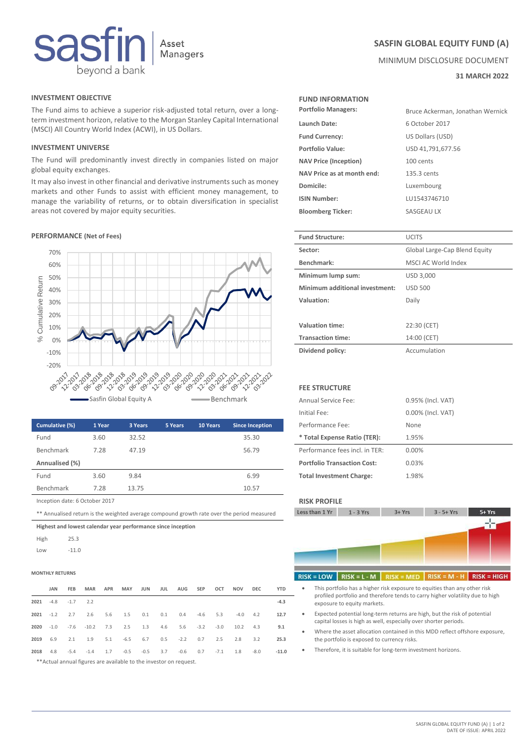

# **INVESTMENT OBJECTIVE FUND INFORMATION**

The Fund aims to achieve a superior risk-adjusted total return, over a longterm investment horizon, relative to the Morgan Stanley Capital International (MSCI) All Country World Index (ACWI), in US Dollars.

# **INVESTMENT UNIVERSE**

The Fund will predominantly invest directly in companies listed on major global equity exchanges.

It may also invest in other financial and derivative instruments such as money markets and other Funds to assist with efficient money management, to manage the variability of returns, or to obtain diversification in specialist areas not covered by major equity securities.

### **PERFORMANCE** (Net of Fees)



| Cumulative (%)                 | 1 Year | 3 Years | 5 Years | <b>10 Years</b> | <b>Since Inception</b> | Performance Fee:                   | None  |
|--------------------------------|--------|---------|---------|-----------------|------------------------|------------------------------------|-------|
| Fund                           | 3.60   | 32.52   |         |                 | 35.30                  | * Total Expense Ratio (TER):       | 1.95% |
| Benchmark                      | 7.28   | 47.19   |         |                 | 56.79                  | Performance fees incl. in TER:     | 0.00% |
| Annualised (%)                 |        |         |         |                 |                        | <b>Portfolio Transaction Cost:</b> | 0.03% |
| Fund                           | 3.60   | 9.84    |         |                 | 6.99                   | <b>Total Investment Charge:</b>    | 1.98% |
| Benchmark                      | 7.28   | 13.75   |         |                 | 10.57                  |                                    |       |
| Inception date: 6 October 2017 |        |         |         |                 |                        | <b>RISK PROFILE</b>                |       |

\*\* Annualised return is the weighted average compound growth rate over the period measured

**Highest and lowest calendar year performance since inception**

High 25.3 Low -11.0

# **MONTHLY RETURNS High Risk High Risk High Risk High Risk High Risk High Risk H**

| <b>YTD</b> | DEC          | MAR APR MAY JUN JUL AUG SEP OCT NOV                                            |  |                                  |  |  | FEB                  | JAN    |      |
|------------|--------------|--------------------------------------------------------------------------------|--|----------------------------------|--|--|----------------------|--------|------|
| $-4.3$     |              |                                                                                |  |                                  |  |  | $2021 -4.8 -1.7 2.2$ |        |      |
| 12.7       | $-4.0$ $4.2$ |                                                                                |  | 2.6 5.6 1.5 0.1 0.1 0.4 -4.6 5.3 |  |  | 2.7                  | $-1.2$ | 2021 |
| 9.1        |              | $-1.0$ $-7.6$ $-10.2$ $7.3$ $2.5$ $1.3$ $4.6$ $5.6$ $-3.2$ $-3.0$ $10.2$ $4.3$ |  |                                  |  |  |                      |        | 2020 |
| 25.3       | 3.2          | 2.1 1.9 5.1 -6.5 6.7 0.5 -2.2 0.7 2.5 2.8                                      |  |                                  |  |  |                      | 6.9    | 2019 |
| $-11.0$    |              | 4.8 -5.4 -1.4 1.7 -0.5 -0.5 3.7 -0.6 0.7 -7.1 1.8 -8.0                         |  |                                  |  |  |                      |        | 2018 |
|            |              |                                                                                |  |                                  |  |  |                      |        |      |

\*\*Actual annual figures are available to the investor on request.

# **SASFIN GLOBAL EQUITY FUND (A)**

MINIMUM DISCLOSURE DOCUMENT

**31 MARCH 2022**

| <b>Portfolio Managers:</b>   | Bruce Ackerman, Jonathan Wernick |
|------------------------------|----------------------------------|
| Launch Date:                 | 6 October 2017                   |
| <b>Fund Currency:</b>        | US Dollars (USD)                 |
| Portfolio Value:             | USD 41,791,677.56                |
| <b>NAV Price (Inception)</b> | 100 cents                        |
| NAV Price as at month end:   | 135.3 cents                      |
| Domicile:                    | Luxembourg                       |
| <b>ISIN Number:</b>          | LU1543746710                     |
| <b>Bloomberg Ticker:</b>     | SASGEAU LX                       |

| <b>Fund Structure:</b>         | <b>UCITS</b>                  |  |
|--------------------------------|-------------------------------|--|
| Sector:                        | Global Large-Cap Blend Equity |  |
| Benchmark:                     | MSCI AC World Index           |  |
| Minimum lump sum:              | USD 3,000                     |  |
| Minimum additional investment: | <b>USD 500</b>                |  |
| Valuation:                     | Daily                         |  |
|                                |                               |  |
| Valuation time:                | 22:30 (CET)                   |  |
| <b>Transaction time:</b>       | 14:00 (CET)                   |  |
| Dividend policy:               | Accumulation                  |  |

### **FEE STRUCTURE**

| Annual Service Fee:                | 0.95% (Incl. VAT) |
|------------------------------------|-------------------|
| Initial Fee:                       | 0.00% (Incl. VAT) |
| Performance Fee:                   | None              |
| * Total Expense Ratio (TER):       | 1.95%             |
| Performance fees incl. in TER:     | $0.00\%$          |
| <b>Portfolio Transaction Cost:</b> | 0.03%             |
| <b>Total Investment Charge:</b>    | 1.98%             |

| Less than 1 Yr |  |  |
|----------------|--|--|
|                |  |  |



#### $LMFD$  RISK = M - H  $RISK = HIGH$

- **D a** This portfolio has a higher risk exposure to equities than any other risk profiled portfolio and therefore tends to carry higher volatility due to high exposure to equity markets.
	- Expected potential long-term returns are high, but the risk of potential capital losses is high as well, especially over shorter periods.
	- Where the asset allocation contained in this MDD reflect offshore exposure, the portfolio is exposed to currency risks.
	- Therefore, it is suitable for long-term investment horizons.